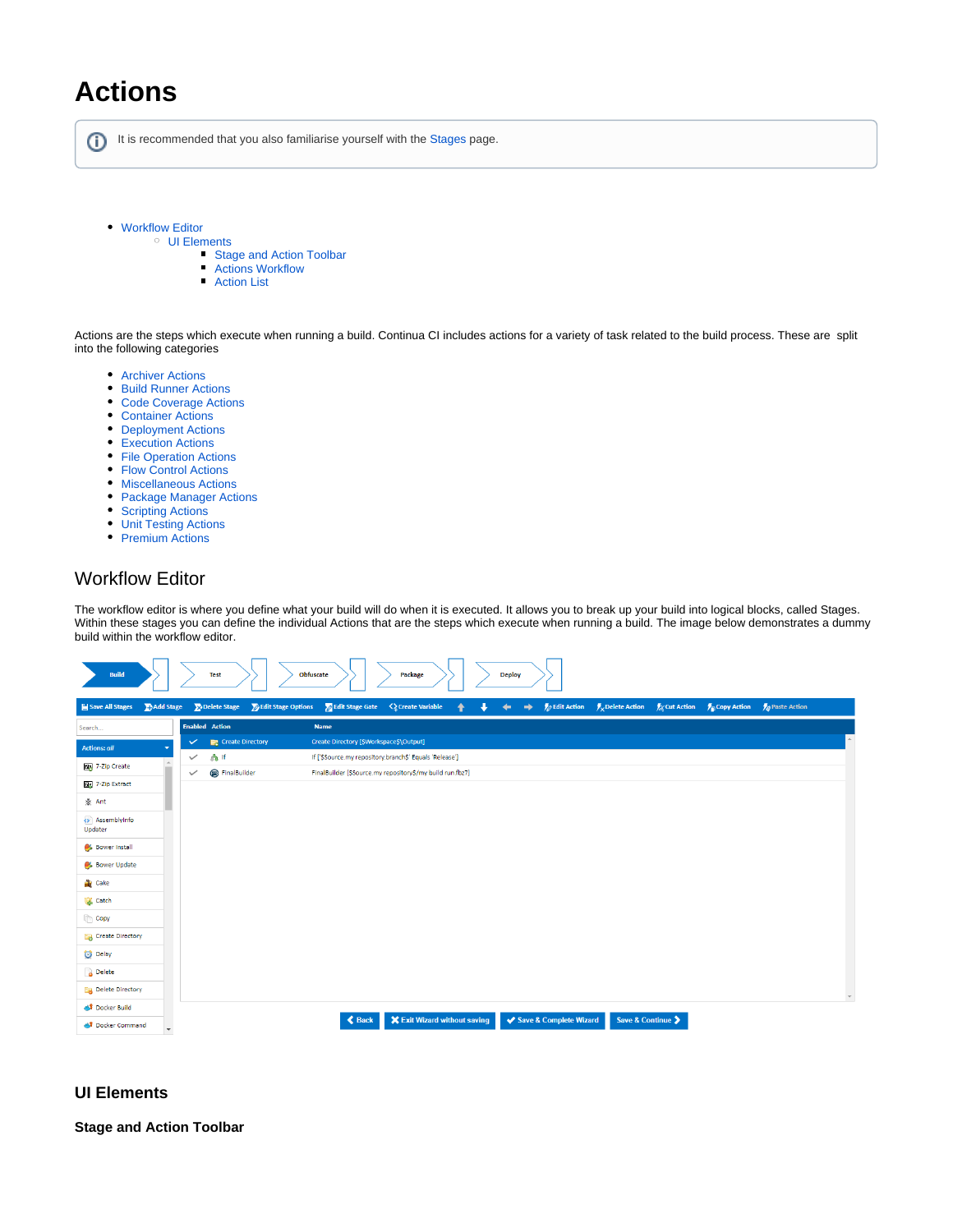## **Actions**

ത It is recommended that you also familiarise yourself with the [Stages](https://wiki.finalbuilder.com/display/continua/Stages) page.

- [Workflow Editor](#page-0-0)
	- [UI Elements](#page-0-1)
		- **[Stage and Action Toolbar](#page-0-2)**
		- [Actions Workflow](#page-1-0)
		- $\blacksquare$ [Action List](#page-2-0)

Actions are the steps which execute when running a build. Continua CI includes actions for a variety of task related to the build process. These are split into the following categories

- **[Archiver Actions](https://wiki.finalbuilder.com/display/continua/Archiver+Actions)**
- [Build Runner Actions](https://wiki.finalbuilder.com/display/continua/Build+Runner+Actions)
- $\bullet$ [Code Coverage Actions](https://wiki.finalbuilder.com/display/continua/Code+Coverage+Actions)
- [Container Actions](https://wiki.finalbuilder.com/display/continua/Container+Actions)
- [Deployment Actions](https://wiki.finalbuilder.com/display/continua/Deployment+Actions)
- [Execution Actions](https://wiki.finalbuilder.com/display/continua/Execution+Actions)
- [File Operation Actions](https://wiki.finalbuilder.com/display/continua/File+Operation+Actions)
- [Flow Control Actions](https://wiki.finalbuilder.com/display/continua/Flow+Control+Actions)
- [Miscellaneous Actions](https://wiki.finalbuilder.com/display/continua/Miscellaneous+Actions)
- [Package Manager Actions](https://wiki.finalbuilder.com/display/continua/Package+Manager+Actions)
- [Scripting Actions](https://wiki.finalbuilder.com/display/continua/Scripting+Actions)
- [Unit Testing Actions](https://wiki.finalbuilder.com/display/continua/Unit+Testing+Actions)
- [Premium Actions](https://wiki.finalbuilder.com/display/continua/Premium+Actions)

## <span id="page-0-0"></span>Workflow Editor

The workflow editor is where you define what your build will do when it is executed. It allows you to break up your build into logical blocks, called Stages. Within these stages you can define the individual Actions that are the steps which execute when running a build. The image below demonstrates a dummy build within the workflow editor.



## <span id="page-0-1"></span>**UI Elements**

<span id="page-0-2"></span>**Stage and Action Toolbar**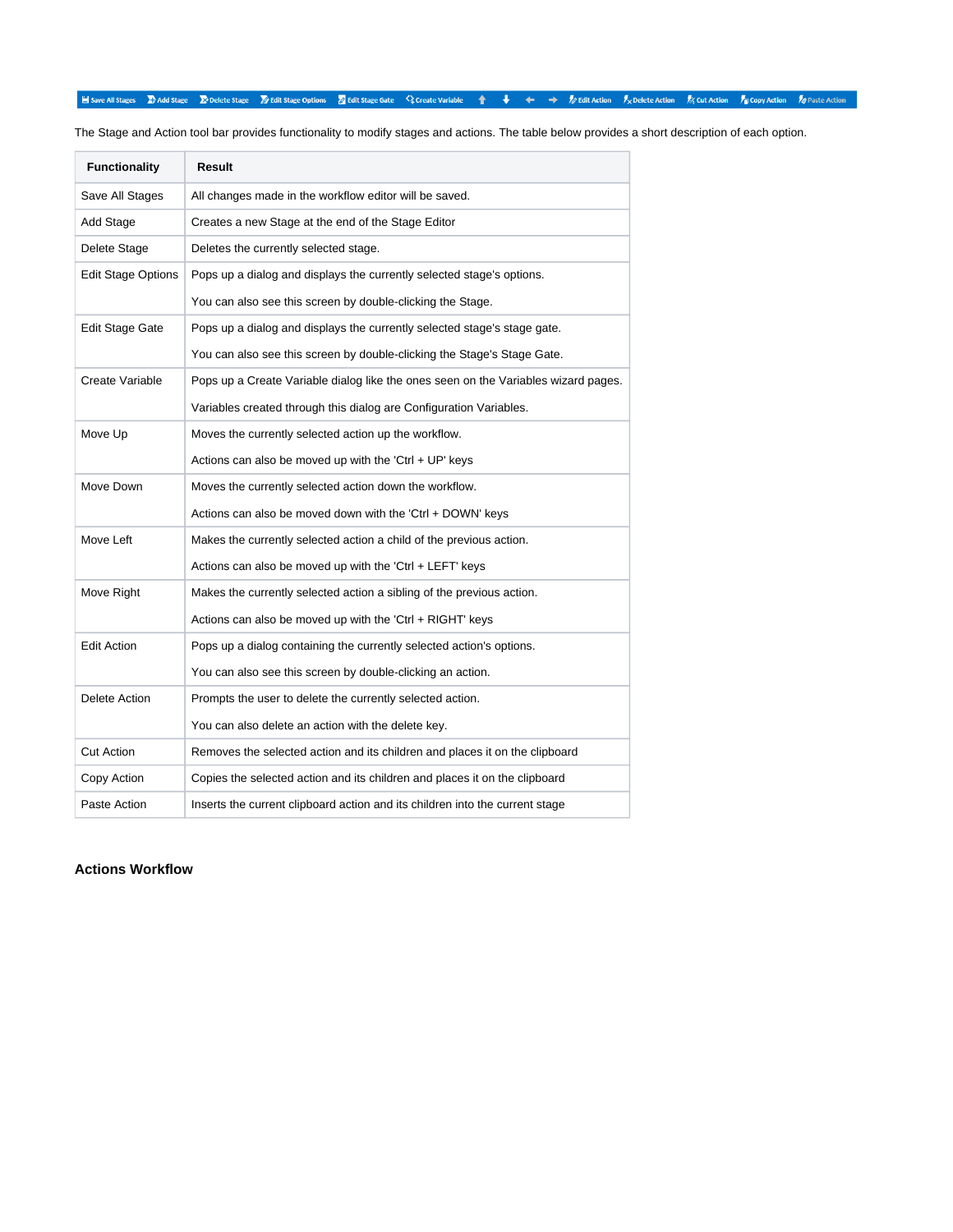■ Save All Stages → Add Stage → Delete Stage → Dedit Stage Options → Edit Stage Gate < 2 Create Variable → → Dedit Action → Delete Action → Cut Action → Copy Action → OP aste Action

The Stage and Action tool bar provides functionality to modify stages and actions. The table below provides a short description of each option.

| <b>Functionality</b>      | Result                                                                             |  |  |
|---------------------------|------------------------------------------------------------------------------------|--|--|
| Save All Stages           | All changes made in the workflow editor will be saved.                             |  |  |
| Add Stage                 | Creates a new Stage at the end of the Stage Editor                                 |  |  |
| Delete Stage              | Deletes the currently selected stage.                                              |  |  |
| <b>Edit Stage Options</b> | Pops up a dialog and displays the currently selected stage's options.              |  |  |
|                           | You can also see this screen by double-clicking the Stage.                         |  |  |
| <b>Edit Stage Gate</b>    | Pops up a dialog and displays the currently selected stage's stage gate.           |  |  |
|                           | You can also see this screen by double-clicking the Stage's Stage Gate.            |  |  |
| Create Variable           | Pops up a Create Variable dialog like the ones seen on the Variables wizard pages. |  |  |
|                           | Variables created through this dialog are Configuration Variables.                 |  |  |
| Move Up                   | Moves the currently selected action up the workflow.                               |  |  |
|                           | Actions can also be moved up with the 'Ctrl + UP' keys                             |  |  |
| Move Down                 | Moves the currently selected action down the workflow.                             |  |  |
|                           | Actions can also be moved down with the 'Ctrl + DOWN' keys                         |  |  |
| Move Left                 | Makes the currently selected action a child of the previous action.                |  |  |
|                           | Actions can also be moved up with the 'Ctrl + LEFT' keys                           |  |  |
| Move Right                | Makes the currently selected action a sibling of the previous action.              |  |  |
|                           | Actions can also be moved up with the 'Ctrl + RIGHT' keys                          |  |  |
| Edit Action               | Pops up a dialog containing the currently selected action's options.               |  |  |
|                           | You can also see this screen by double-clicking an action.                         |  |  |
| Delete Action             | Prompts the user to delete the currently selected action.                          |  |  |
|                           | You can also delete an action with the delete key.                                 |  |  |
| Cut Action                | Removes the selected action and its children and places it on the clipboard        |  |  |
| Copy Action               | Copies the selected action and its children and places it on the clipboard         |  |  |
| Paste Action              | Inserts the current clipboard action and its children into the current stage       |  |  |

<span id="page-1-0"></span>**Actions Workflow**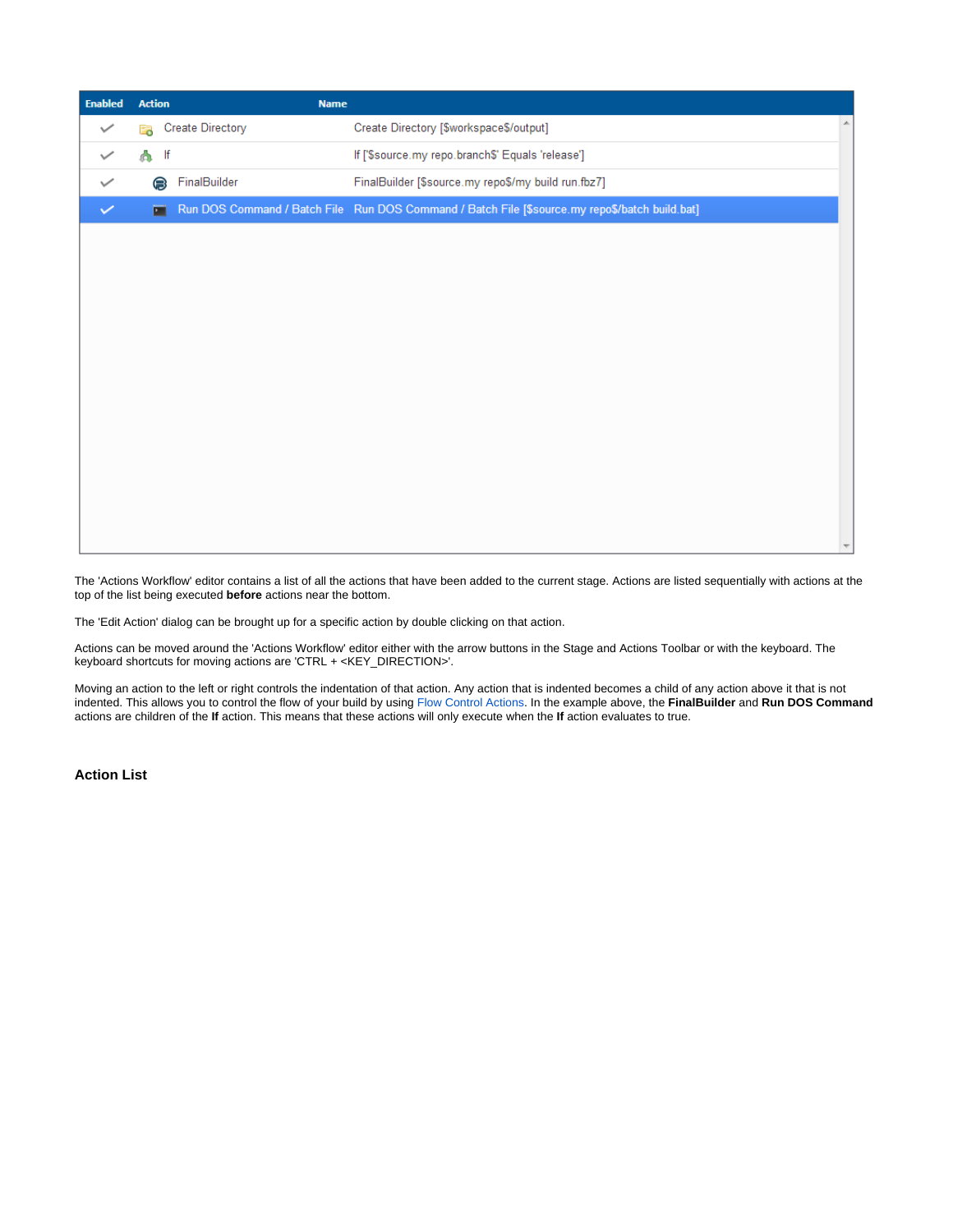| <b>Enabled</b> | <b>Action</b> |    | <b>Name</b>             |                                                                                                |                          |
|----------------|---------------|----|-------------------------|------------------------------------------------------------------------------------------------|--------------------------|
| $\checkmark$   | E.            |    | <b>Create Directory</b> | $\blacktriangle$<br>Create Directory [\$workspace\$/output]                                    |                          |
|                | А             | lf |                         | If ['\$source.my repo.branch\$' Equals 'release']                                              |                          |
|                |               | 6  | FinalBuilder            | FinalBuilder [\$source.my repo\$/my build run.fbz7]                                            |                          |
| $\checkmark$   |               | п  |                         | Run DOS Command / Batch File Run DOS Command / Batch File [\$source.my repo\$/batch build.bat] |                          |
|                |               |    |                         |                                                                                                |                          |
|                |               |    |                         |                                                                                                |                          |
|                |               |    |                         |                                                                                                |                          |
|                |               |    |                         |                                                                                                |                          |
|                |               |    |                         |                                                                                                |                          |
|                |               |    |                         |                                                                                                |                          |
|                |               |    |                         |                                                                                                |                          |
|                |               |    |                         |                                                                                                |                          |
|                |               |    |                         |                                                                                                |                          |
|                |               |    |                         |                                                                                                |                          |
|                |               |    |                         |                                                                                                |                          |
|                |               |    |                         |                                                                                                | $\overline{\phantom{a}}$ |

The 'Actions Workflow' editor contains a list of all the actions that have been added to the current stage. Actions are listed sequentially with actions at the top of the list being executed **before** actions near the bottom.

The 'Edit Action' dialog can be brought up for a specific action by double clicking on that action.

Actions can be moved around the 'Actions Workflow' editor either with the arrow buttons in the Stage and Actions Toolbar or with the keyboard. The keyboard shortcuts for moving actions are 'CTRL + <KEY\_DIRECTION>'.

Moving an action to the left or right controls the indentation of that action. Any action that is indented becomes a child of any action above it that is not indented. This allows you to control the flow of your build by using [Flow Control Actions.](https://wiki.finalbuilder.com/display/continua/Flow+Control+Actions) In the example above, the **FinalBuilder** and **Run DOS Command** actions are children of the **If** action. This means that these actions will only execute when the **If** action evaluates to true.

<span id="page-2-0"></span>**Action List**